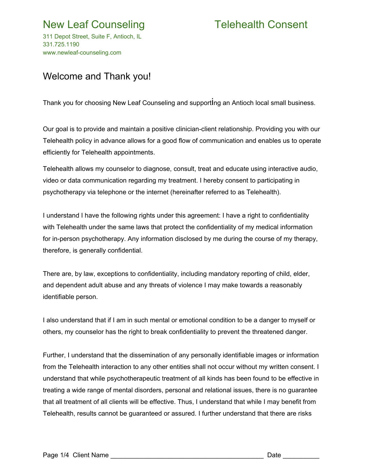# New Leaf Counseling Telehealth Consent

311 Depot Street, Suite F, Antioch, IL 331.725.1190 www.newleaf-counseling.com

### Welcome and Thank you!

Thank you for choosing New Leaf Counseling and supporting an Antioch local small business.

Our goal is to provide and maintain a positive clinician-client relationship. Providing you with our Telehealth policy in advance allows for a good flow of communication and enables us to operate efficiently for Telehealth appointments.

Telehealth allows my counselor to diagnose, consult, treat and educate using interactive audio, video or data communication regarding my treatment. I hereby consent to participating in psychotherapy via telephone or the internet (hereinafter referred to as Telehealth).

I understand I have the following rights under this agreement: I have a right to confidentiality with Telehealth under the same laws that protect the confidentiality of my medical information for in-person psychotherapy. Any information disclosed by me during the course of my therapy, therefore, is generally confidential.

There are, by law, exceptions to confidentiality, including mandatory reporting of child, elder, and dependent adult abuse and any threats of violence I may make towards a reasonably identifiable person.

I also understand that if I am in such mental or emotional condition to be a danger to myself or others, my counselor has the right to break confidentiality to prevent the threatened danger.

Further, I understand that the dissemination of any personally identifiable images or information from the Telehealth interaction to any other entities shall not occur without my written consent. I understand that while psychotherapeutic treatment of all kinds has been found to be effective in treating a wide range of mental disorders, personal and relational issues, there is no guarantee that all treatment of all clients will be effective. Thus, I understand that while I may benefit from Telehealth, results cannot be guaranteed or assured. I further understand that there are risks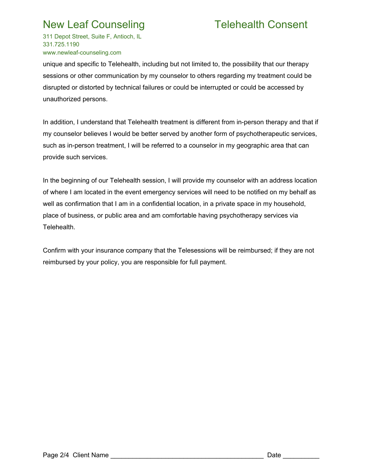# New Leaf Counseling Telehealth Consent

311 Depot Street, Suite F, Antioch, IL 331.725.1190 www.newleaf-counseling.com

unique and specific to Telehealth, including but not limited to, the possibility that our therapy sessions or other communication by my counselor to others regarding my treatment could be disrupted or distorted by technical failures or could be interrupted or could be accessed by unauthorized persons.

In addition, I understand that Telehealth treatment is different from in-person therapy and that if my counselor believes I would be better served by another form of psychotherapeutic services, such as in-person treatment, I will be referred to a counselor in my geographic area that can provide such services.

In the beginning of our Telehealth session, I will provide my counselor with an address location of where I am located in the event emergency services will need to be notified on my behalf as well as confirmation that I am in a confidential location, in a private space in my household, place of business, or public area and am comfortable having psychotherapy services via Telehealth.

Confirm with your insurance company that the Telesessions will be reimbursed; if they are not reimbursed by your policy, you are responsible for full payment.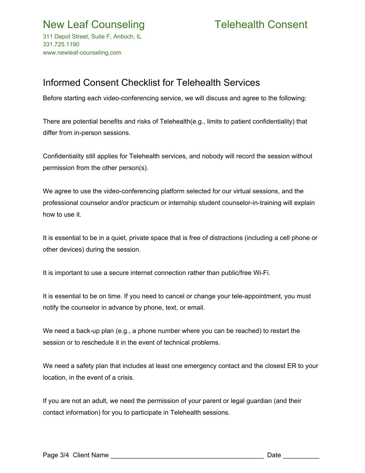311 Depot Street, Suite F, Antioch, IL 331.725.1190 www.newleaf-counseling.com

## Informed Consent Checklist for Telehealth Services

Before starting each video-conferencing service, we will discuss and agree to the following:

There are potential benefits and risks of Telehealth(e.g., limits to patient confidentiality) that differ from in-person sessions.

Confidentiality still applies for Telehealth services, and nobody will record the session without permission from the other person(s).

We agree to use the video-conferencing platform selected for our virtual sessions, and the professional counselor and/or practicum or internship student counselor-in-training will explain how to use it.

It is essential to be in a quiet, private space that is free of distractions (including a cell phone or other devices) during the session.

It is important to use a secure internet connection rather than public/free Wi-Fi.

It is essential to be on time. If you need to cancel or change your tele-appointment, you must notify the counselor in advance by phone, text, or email.

We need a back-up plan (e.g., a phone number where you can be reached) to restart the session or to reschedule it in the event of technical problems.

We need a safety plan that includes at least one emergency contact and the closest ER to your location, in the event of a crisis.

If you are not an adult, we need the permission of your parent or legal guardian (and their contact information) for you to participate in Telehealth sessions.